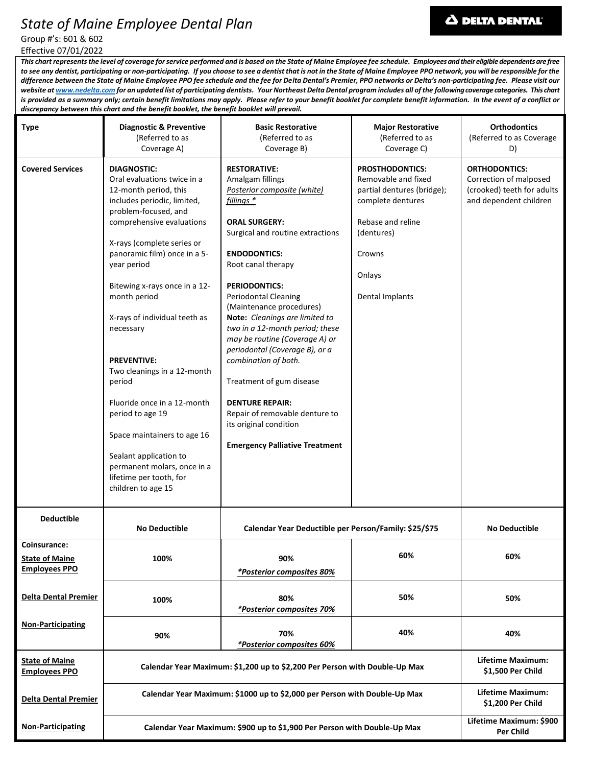# *State of Maine Employee Dental Plan*

# **A DELTA DENTAL**

Group #'s: 601 & 602 Effective 07/01/2022

*This chart represents the level of coverage for service performed and is based on the State of Maine Employee fee schedule. Employees and their eligible dependents are free to see any dentist, participating or non-participating. If you choose to see a dentist that is not in the State of Maine Employee PPO network, you will be responsible for the difference between the State of Maine Employee PPO fee schedule and the fee for Delta Dental's Premier, PPO networks or Delta's non-participating fee. Please visit our website a[t www.nedelta.com](http://www.nedelta.com/) for an updated list of participating dentists. Your Northeast Delta Dental program includes all of the following coverage categories. This chart is provided as a summary only; certain benefit limitations may apply. Please refer to your benefit booklet for complete benefit information. In the event of a conflict or discrepancy between this chart and the benefit booklet, the benefit booklet will prevail.*

| <b>Type</b>                                                   | <b>Diagnostic &amp; Preventive</b><br>(Referred to as<br>Coverage A)                                                                                                                                                                                                                                                                                                                                                                                                                                                                                                                                  | <b>Basic Restorative</b><br>(Referred to as<br>Coverage B)                                                                                                                                                                                                                                                                                                                                                                                                                                                                                                                                                   | <b>Major Restorative</b><br>(Referred to as<br>Coverage C)                                                                                                                 | <b>Orthodontics</b><br>(Referred to as Coverage<br>D)                                                  |
|---------------------------------------------------------------|-------------------------------------------------------------------------------------------------------------------------------------------------------------------------------------------------------------------------------------------------------------------------------------------------------------------------------------------------------------------------------------------------------------------------------------------------------------------------------------------------------------------------------------------------------------------------------------------------------|--------------------------------------------------------------------------------------------------------------------------------------------------------------------------------------------------------------------------------------------------------------------------------------------------------------------------------------------------------------------------------------------------------------------------------------------------------------------------------------------------------------------------------------------------------------------------------------------------------------|----------------------------------------------------------------------------------------------------------------------------------------------------------------------------|--------------------------------------------------------------------------------------------------------|
| <b>Covered Services</b>                                       | <b>DIAGNOSTIC:</b><br>Oral evaluations twice in a<br>12-month period, this<br>includes periodic, limited,<br>problem-focused, and<br>comprehensive evaluations<br>X-rays (complete series or<br>panoramic film) once in a 5-<br>year period<br>Bitewing x-rays once in a 12-<br>month period<br>X-rays of individual teeth as<br>necessary<br><b>PREVENTIVE:</b><br>Two cleanings in a 12-month<br>period<br>Fluoride once in a 12-month<br>period to age 19<br>Space maintainers to age 16<br>Sealant application to<br>permanent molars, once in a<br>lifetime per tooth, for<br>children to age 15 | <b>RESTORATIVE:</b><br>Amalgam fillings<br>Posterior composite (white)<br>fillings *<br><b>ORAL SURGERY:</b><br>Surgical and routine extractions<br><b>ENDODONTICS:</b><br>Root canal therapy<br><b>PERIODONTICS:</b><br><b>Periodontal Cleaning</b><br>(Maintenance procedures)<br>Note: Cleanings are limited to<br>two in a 12-month period; these<br>may be routine (Coverage A) or<br>periodontal (Coverage B), or a<br>combination of both.<br>Treatment of gum disease<br><b>DENTURE REPAIR:</b><br>Repair of removable denture to<br>its original condition<br><b>Emergency Palliative Treatment</b> | <b>PROSTHODONTICS:</b><br>Removable and fixed<br>partial dentures (bridge);<br>complete dentures<br>Rebase and reline<br>(dentures)<br>Crowns<br>Onlays<br>Dental Implants | <b>ORTHODONTICS:</b><br>Correction of malposed<br>(crooked) teeth for adults<br>and dependent children |
| <b>Deductible</b>                                             | <b>No Deductible</b>                                                                                                                                                                                                                                                                                                                                                                                                                                                                                                                                                                                  | Calendar Year Deductible per Person/Family: \$25/\$75                                                                                                                                                                                                                                                                                                                                                                                                                                                                                                                                                        |                                                                                                                                                                            | <b>No Deductible</b>                                                                                   |
| Coinsurance:<br><b>State of Maine</b><br><b>Employees PPO</b> | 100%                                                                                                                                                                                                                                                                                                                                                                                                                                                                                                                                                                                                  | 90%<br>*Posterior composites 80%                                                                                                                                                                                                                                                                                                                                                                                                                                                                                                                                                                             | 60%                                                                                                                                                                        | 60%                                                                                                    |
| <b>Delta Dental Premier</b>                                   | 100%                                                                                                                                                                                                                                                                                                                                                                                                                                                                                                                                                                                                  | 80%<br><i>*Posterior composites 70%</i>                                                                                                                                                                                                                                                                                                                                                                                                                                                                                                                                                                      | 50%                                                                                                                                                                        | 50%                                                                                                    |
| <b>Non-Participating</b>                                      | 90%                                                                                                                                                                                                                                                                                                                                                                                                                                                                                                                                                                                                   | 70%<br><i><b>*Posterior composites 60%</b></i>                                                                                                                                                                                                                                                                                                                                                                                                                                                                                                                                                               | 40%                                                                                                                                                                        | 40%                                                                                                    |
| <b>State of Maine</b><br><b>Employees PPO</b>                 | Calendar Year Maximum: \$1,200 up to \$2,200 Per Person with Double-Up Max                                                                                                                                                                                                                                                                                                                                                                                                                                                                                                                            |                                                                                                                                                                                                                                                                                                                                                                                                                                                                                                                                                                                                              |                                                                                                                                                                            | Lifetime Maximum:<br>\$1,500 Per Child                                                                 |
| <b>Delta Dental Premier</b>                                   | Calendar Year Maximum: \$1000 up to \$2,000 per Person with Double-Up Max                                                                                                                                                                                                                                                                                                                                                                                                                                                                                                                             |                                                                                                                                                                                                                                                                                                                                                                                                                                                                                                                                                                                                              |                                                                                                                                                                            | Lifetime Maximum:<br>\$1,200 Per Child                                                                 |
| <b>Non-Participating</b>                                      | Calendar Year Maximum: \$900 up to \$1,900 Per Person with Double-Up Max                                                                                                                                                                                                                                                                                                                                                                                                                                                                                                                              |                                                                                                                                                                                                                                                                                                                                                                                                                                                                                                                                                                                                              |                                                                                                                                                                            | Lifetime Maximum: \$900<br>Per Child                                                                   |